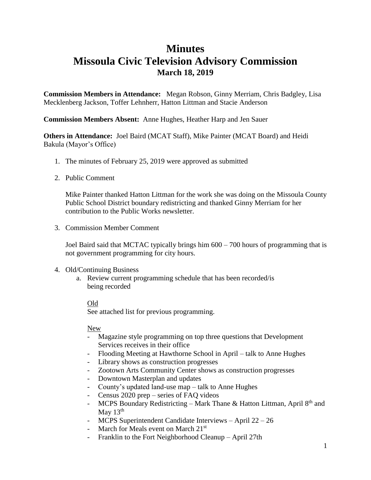### **Minutes**

## **Missoula Civic Television Advisory Commission March 18, 2019**

**Commission Members in Attendance:** Megan Robson, Ginny Merriam, Chris Badgley, Lisa Mecklenberg Jackson, Toffer Lehnherr, Hatton Littman and Stacie Anderson

#### **Commission Members Absent:** Anne Hughes, Heather Harp and Jen Sauer

**Others in Attendance:** Joel Baird (MCAT Staff), Mike Painter (MCAT Board) and Heidi Bakula (Mayor's Office)

- 1. The minutes of February 25, 2019 were approved as submitted
- 2. Public Comment

Mike Painter thanked Hatton Littman for the work she was doing on the Missoula County Public School District boundary redistricting and thanked Ginny Merriam for her contribution to the Public Works newsletter.

3. Commission Member Comment

Joel Baird said that MCTAC typically brings him 600 – 700 hours of programming that is not government programming for city hours.

- 4. Old/Continuing Business
	- a. Review current programming schedule that has been recorded/is being recorded

#### Old

See attached list for previous programming.

#### New

- Magazine style programming on top three questions that Development Services receives in their office
- Flooding Meeting at Hawthorne School in April talk to Anne Hughes
- Library shows as construction progresses
- Zootown Arts Community Center shows as construction progresses
- Downtown Masterplan and updates
- County's updated land-use map talk to Anne Hughes
- Census 2020 prep series of FAQ videos
- MCPS Boundary Redistricting Mark Thane & Hatton Littman, April  $8<sup>th</sup>$  and May  $13<sup>th</sup>$
- MCPS Superintendent Candidate Interviews April 22 26
- March for Meals event on March 21<sup>st</sup>
- Franklin to the Fort Neighborhood Cleanup April 27th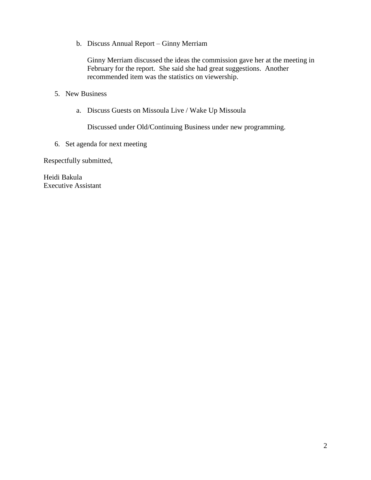b. Discuss Annual Report – Ginny Merriam

Ginny Merriam discussed the ideas the commission gave her at the meeting in February for the report. She said she had great suggestions. Another recommended item was the statistics on viewership.

- 5. New Business
	- a. Discuss Guests on Missoula Live / Wake Up Missoula

Discussed under Old/Continuing Business under new programming.

6. Set agenda for next meeting

Respectfully submitted,

Heidi Bakula Executive Assistant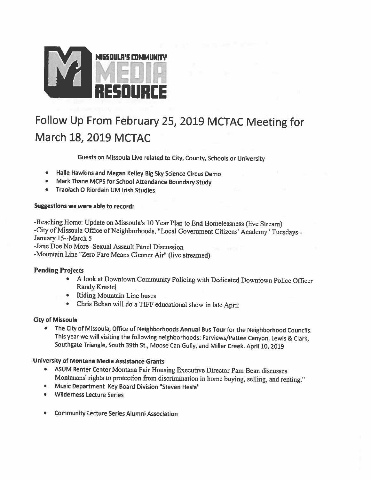

# Follow Up From February 25, 2019 MCTAC Meeting for March 18, 2019 MCTAC

Guests on Missoula Live related to City, County, Schools or University

- Halle Hawkins and Megan Kelley Big Sky Science Circus Demo
- Mark Thane MCPS for School Attendance Boundary Study  $\bullet$
- Traolach O Riordain UM Irish Studies

#### Suggestions we were able to record:

-Reaching Home: Update on Missoula's 10 Year Plan to End Homelessness (live Stream) -City of Missoula Office of Neighborhoods, "Local Government Citizens' Academy" Tuesdays--January 15--March 5

-Jane Doe No More -Sexual Assault Panel Discussion

-Mountain Line "Zero Fare Means Cleaner Air" (live streamed)

#### **Pending Projects**

- A look at Downtown Community Policing with Dedicated Downtown Police Officer  $\bullet$ **Randy Krastel**
- Riding Mountain Line buses  $\bullet$
- Chris Behan will do a TIFF educational show in late April

#### **City of Missoula**

The City of Missoula, Office of Neighborhoods Annual Bus Tour for the Neighborhood Councils. This year we will visiting the following neighborhoods: Farviews/Pattee Canyon, Lewis & Clark, Southgate Triangle, South 39th St., Moose Can Gully, and Miller Creek. April 10, 2019

#### University of Montana Media Assistance Grants

- ASUM Renter Center Montana Fair Housing Executive Director Pam Bean discusses Montanans' rights to protection from discrimination in home buying, selling, and renting."
- Music Department Key Board Division "Steven Hesla"
- **Wilderness Lecture Series**  $\bullet$
- $\bullet$ **Community Lecture Series Alumni Association**